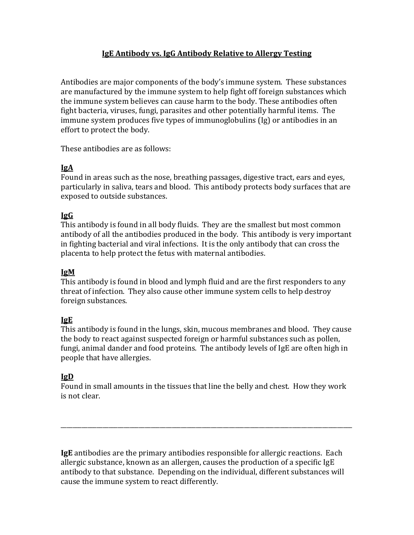# **IgE Antibody vs. IgG Antibody Relative to Allergy Testing**

Antibodies are major components of the body's immune system. These substances are manufactured by the immune system to help fight off foreign substances which the immune system believes can cause harm to the body. These antibodies often fight bacteria, viruses, fungi, parasites and other potentially harmful items. The immune system produces five types of immunoglobulins (Ig) or antibodies in an effort to protect the body.

These antibodies are as follows:

# **IgA**

Found in areas such as the nose, breathing passages, digestive tract, ears and eyes, particularly in saliva, tears and blood. This antibody protects body surfaces that are exposed to outside substances.

# **IgG**

This antibody is found in all body fluids. They are the smallest but most common antibody of all the antibodies produced in the body. This antibody is very important in fighting bacterial and viral infections. It is the only antibody that can cross the placenta to help protect the fetus with maternal antibodies.

#### **IgM**

This antibody is found in blood and lymph fluid and are the first responders to any threat of infection. They also cause other immune system cells to help destroy foreign substances.

# **IgE**

This antibody is found in the lungs, skin, mucous membranes and blood. They cause the body to react against suspected foreign or harmful substances such as pollen, fungi, animal dander and food proteins. The antibody levels of IgE are often high in people that have allergies.

# **IgD**

Found in small amounts in the tissues that line the belly and chest. How they work is not clear.

\_\_\_\_\_\_\_\_\_\_\_\_\_\_\_\_\_\_\_\_\_\_\_\_\_\_\_\_\_\_\_\_\_\_\_\_\_\_\_\_\_\_\_\_\_\_\_\_\_\_\_\_\_\_\_\_\_\_\_\_\_\_\_\_\_\_\_\_\_\_\_\_\_\_\_\_\_\_\_\_\_\_\_\_\_\_\_\_\_\_\_\_\_\_\_\_\_

**IgE** antibodies are the primary antibodies responsible for allergic reactions. Each allergic substance, known as an allergen, causes the production of a specific IgE antibody to that substance. Depending on the individual, different substances will cause the immune system to react differently.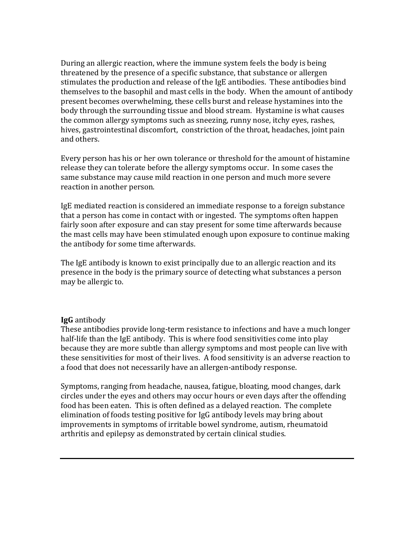During an allergic reaction, where the immune system feels the body is being threatened by the presence of a specific substance, that substance or allergen stimulates the production and release of the IgE antibodies. These antibodies bind themselves to the basophil and mast cells in the body. When the amount of antibody present becomes overwhelming, these cells burst and release hystamines into the body through the surrounding tissue and blood stream. Hystamine is what causes the common allergy symptoms such as sneezing, runny nose, itchy eyes, rashes, hives, gastrointestinal discomfort, constriction of the throat, headaches, joint pain and others.

Every person has his or her own tolerance or threshold for the amount of histamine release they can tolerate before the allergy symptoms occur. In some cases the same substance may cause mild reaction in one person and much more severe reaction in another person.

IgE mediated reaction is considered an immediate response to a foreign substance that a person has come in contact with or ingested. The symptoms often happen fairly soon after exposure and can stay present for some time afterwards because the mast cells may have been stimulated enough upon exposure to continue making the antibody for some time afterwards.

The IgE antibody is known to exist principally due to an allergic reaction and its presence in the body is the primary source of detecting what substances a person may be allergic to.

#### **IgG** antibody

These antibodies provide long-term resistance to infections and have a much longer half-life than the IgE antibody. This is where food sensitivities come into play because they are more subtle than allergy symptoms and most people can live with these sensitivities for most of their lives. A food sensitivity is an adverse reaction to a food that does not necessarily have an allergen-antibody response.

Symptoms, ranging from headache, nausea, fatigue, bloating, mood changes, dark circles under the eyes and others may occur hours or even days after the offending food has been eaten. This is often defined as a delayed reaction. The complete elimination of foods testing positive for IgG antibody levels may bring about improvements in symptoms of irritable bowel syndrome, autism, rheumatoid arthritis and epilepsy as demonstrated by certain clinical studies.